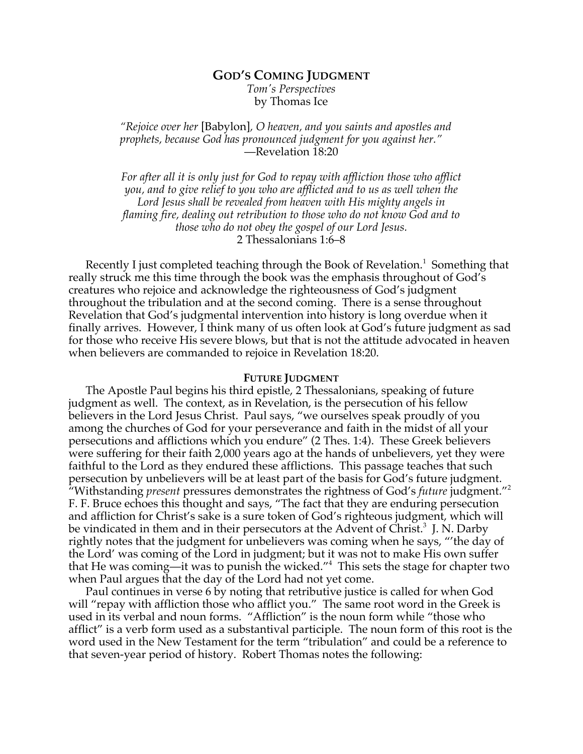# **GOD'S COMING JUDGMENT** *Tom's Perspectives* by Thomas Ice

*"Rejoice over her* [Babylon]*, O heaven, and you saints and apostles and prophets, because God has pronounced judgment for you against her."* —Revelation 18:20

*For after all it is only just for God to repay with affliction those who afflict you, and to give relief to you who are afflicted and to us as well when the Lord Jesus shall be revealed from heaven with His mighty angels in flaming fire, dealing out retribution to those who do not know God and to those who do not obey the gospel of our Lord Jesus.* 2 Thessalonians 1:6–8

Recently I just completed teaching through the Book of Revelation. 1 Something that really struck me this time through the book was the emphasis throughout of God's creatures who rejoice and acknowledge the righteousness of God's judgment throughout the tribulation and at the second coming. There is a sense throughout Revelation that God's judgmental intervention into history is long overdue when it finally arrives. However, I think many of us often look at God's future judgment as sad for those who receive His severe blows, but that is not the attitude advocated in heaven when believers are commanded to rejoice in Revelation 18:20.

#### **FUTURE JUDGMENT**

The Apostle Paul begins his third epistle, 2 Thessalonians, speaking of future judgment as well. The context, as in Revelation, is the persecution of his fellow believers in the Lord Jesus Christ. Paul says, "we ourselves speak proudly of you among the churches of God for your perseverance and faith in the midst of all your persecutions and afflictions which you endure" (2 Thes. 1:4). These Greek believers were suffering for their faith 2,000 years ago at the hands of unbelievers, yet they were faithful to the Lord as they endured these afflictions. This passage teaches that such persecution by unbelievers will be at least part of the basis for God's future judgment. "Withstanding *present* pressures demonstrates the rightness of God's *future* judgment."<sup>2</sup> F. F. Bruce echoes this thought and says, "The fact that they are enduring persecution and affliction for Christ's sake is a sure token of God's righteous judgment, which will be vindicated in them and in their persecutors at the Advent of Christ.<sup>3</sup> J. N. Darby rightly notes that the judgment for unbelievers was coming when he says, "'the day of the Lord' was coming of the Lord in judgment; but it was not to make His own suffer that He was coming—it was to punish the wicked."4 This sets the stage for chapter two when Paul argues that the day of the Lord had not yet come.

Paul continues in verse 6 by noting that retributive justice is called for when God will "repay with affliction those who afflict you." The same root word in the Greek is used in its verbal and noun forms. "Affliction" is the noun form while "those who afflict" is a verb form used as a substantival participle. The noun form of this root is the word used in the New Testament for the term "tribulation" and could be a reference to that seven-year period of history. Robert Thomas notes the following: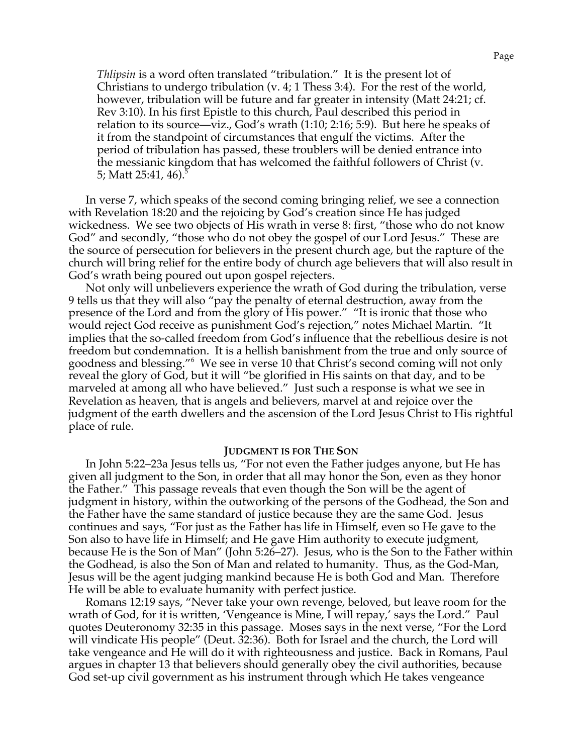*Thlipsin* is a word often translated "tribulation." It is the present lot of Christians to undergo tribulation (v. 4; 1 Thess 3:4). For the rest of the world, however, tribulation will be future and far greater in intensity (Matt 24:21; cf. Rev 3:10). In his first Epistle to this church, Paul described this period in relation to its source—viz., God's wrath (1:10; 2:16; 5:9). But here he speaks of it from the standpoint of circumstances that engulf the victims. After the period of tribulation has passed, these troublers will be denied entrance into the messianic kingdom that has welcomed the faithful followers of Christ (v. 5; Matt 25:41, 46).<sup>5</sup>

In verse 7, which speaks of the second coming bringing relief, we see a connection with Revelation 18:20 and the rejoicing by God's creation since He has judged wickedness. We see two objects of His wrath in verse 8: first, "those who do not know God" and secondly, "those who do not obey the gospel of our Lord Jesus." These are the source of persecution for believers in the present church age, but the rapture of the church will bring relief for the entire body of church age believers that will also result in God's wrath being poured out upon gospel rejecters.

Not only will unbelievers experience the wrath of God during the tribulation, verse 9 tells us that they will also "pay the penalty of eternal destruction, away from the presence of the Lord and from the glory of His power." "It is ironic that those who would reject God receive as punishment God's rejection," notes Michael Martin. "It implies that the so-called freedom from God's influence that the rebellious desire is not freedom but condemnation. It is a hellish banishment from the true and only source of goodness and blessing."<sup>6</sup> We see in verse 10 that Christ's second coming will not only reveal the glory of God, but it will "be glorified in His saints on that day, and to be marveled at among all who have believed." Just such a response is what we see in Revelation as heaven, that is angels and believers, marvel at and rejoice over the judgment of the earth dwellers and the ascension of the Lord Jesus Christ to His rightful place of rule.

### **JUDGMENT IS FOR THE SON**

In John 5:22–23a Jesus tells us, "For not even the Father judges anyone, but He has given all judgment to the Son, in order that all may honor the Son, even as they honor the Father." This passage reveals that even though the Son will be the agent of judgment in history, within the outworking of the persons of the Godhead, the Son and the Father have the same standard of justice because they are the same God. Jesus continues and says, "For just as the Father has life in Himself, even so He gave to the Son also to have life in Himself; and He gave Him authority to execute judgment, because He is the Son of Man" (John 5:26–27). Jesus, who is the Son to the Father within the Godhead, is also the Son of Man and related to humanity. Thus, as the God-Man, Jesus will be the agent judging mankind because He is both God and Man. Therefore He will be able to evaluate humanity with perfect justice.

Romans 12:19 says, "Never take your own revenge, beloved, but leave room for the wrath of God, for it is written, 'Vengeance is Mine, I will repay,' says the Lord." Paul quotes Deuteronomy 32:35 in this passage. Moses says in the next verse, "For the Lord will vindicate His people" (Deut. 32:36). Both for Israel and the church, the Lord will take vengeance and He will do it with righteousness and justice. Back in Romans, Paul argues in chapter 13 that believers should generally obey the civil authorities, because God set-up civil government as his instrument through which He takes vengeance